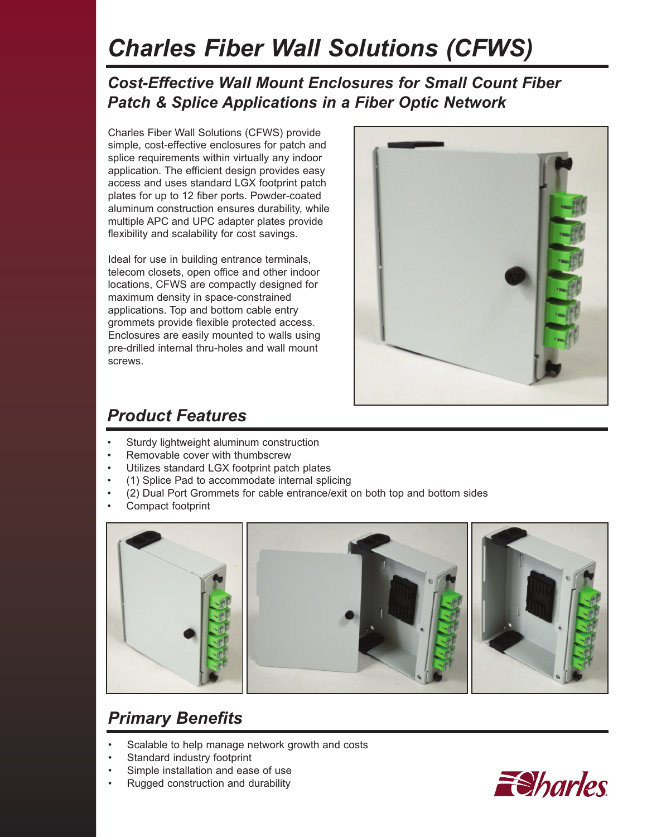# *Charles Fiber Wall Solutions (CFWS)*

#### *Cost-Effective Wall Mount Enclosures for Small Count Fiber Patch & Splice Applications in a Fiber Optic Network*

Charles Fiber Wall Solutions (CFWS) provide simple, cost-effective enclosures for patch and splice requirements within virtually any indoor application. The efficient design provides easy access and uses standard LGX footprint patch plates for up to 12 fiber ports. Powder-coated aluminum construction ensures durability, while multiple APC and UPC adapter plates provide flexibility and scalability for cost savings.

Ideal for use in building entrance terminals, telecom closets, open office and other indoor locations, CFWS are compactly designed for maximum density in space-constrained applications. Top and bottom cable entry grommets provide flexible protected access. Enclosures are easily mounted to walls using pre-drilled internal thru-holes and wall mount screws.



### *Product Features*

- Sturdy lightweight aluminum construction
- Removable cover with thumbscrew
- Utilizes standard LGX footprint patch plates
- (1) Splice Pad to accommodate internal splicing
- (2) Dual Port Grommets for cable entrance/exit on both top and bottom sides
- Compact footprint



# *Primary Benefits*

- Scalable to help manage network growth and costs
- Standard industry footprint
- Simple installation and ease of use
	- Rugged construction and durability